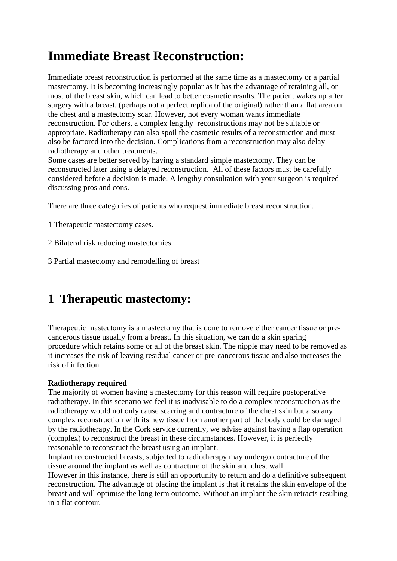# **Immediate Breast Reconstruction:**

Immediate breast reconstruction is performed at the same time as a mastectomy or a partial mastectomy. It is becoming increasingly popular as it has the advantage of retaining all, or most of the breast skin, which can lead to better cosmetic results. The patient wakes up after surgery with a breast, (perhaps not a perfect replica of the original) rather than a flat area on the chest and a mastectomy scar. However, not every woman wants immediate reconstruction. For others, a complex lengthy reconstructions may not be suitable or appropriate. Radiotherapy can also spoil the cosmetic results of a reconstruction and must also be factored into the decision. Complications from a reconstruction may also delay radiotherapy and other treatments.

Some cases are better served by having a standard simple mastectomy. They can be reconstructed later using a delayed reconstruction. All of these factors must be carefully considered before a decision is made. A lengthy consultation with your surgeon is required discussing pros and cons.

There are three categories of patients who request immediate breast reconstruction.

1 Therapeutic mastectomy cases.

2 Bilateral risk reducing mastectomies.

3 Partial mastectomy and remodelling of breast

## **1 Therapeutic mastectomy:**

Therapeutic mastectomy is a mastectomy that is done to remove either cancer tissue or precancerous tissue usually from a breast. In this situation, we can do a skin sparing procedure which retains some or all of the breast skin. The nipple may need to be removed as it increases the risk of leaving residual cancer or pre-cancerous tissue and also increases the risk of infection.

### **Radiotherapy required**

The majority of women having a mastectomy for this reason will require postoperative radiotherapy. In this scenario we feel it is inadvisable to do a complex reconstruction as the radiotherapy would not only cause scarring and contracture of the chest skin but also any complex reconstruction with its new tissue from another part of the body could be damaged by the radiotherapy. In the Cork service currently, we advise against having a flap operation (complex) to reconstruct the breast in these circumstances. However, it is perfectly reasonable to reconstruct the breast using an implant.

Implant reconstructed breasts, subjected to radiotherapy may undergo contracture of the tissue around the implant as well as contracture of the skin and chest wall.

However in this instance, there is still an opportunity to return and do a definitive subsequent reconstruction. The advantage of placing the implant is that it retains the skin envelope of the breast and will optimise the long term outcome. Without an implant the skin retracts resulting in a flat contour.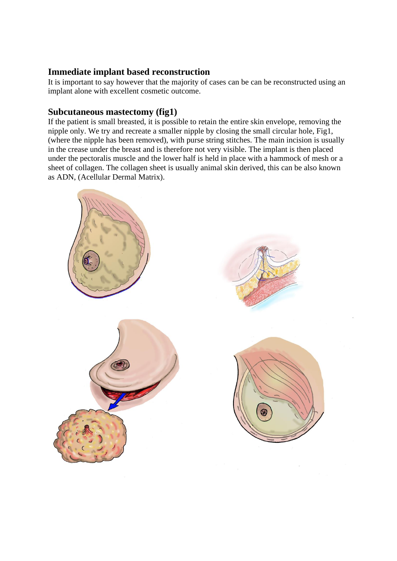## **Immediate implant based reconstruction**

It is important to say however that the majority of cases can be can be reconstructed using an implant alone with excellent cosmetic outcome.

## **Subcutaneous mastectomy (fig1)**

If the patient is small breasted, it is possible to retain the entire skin envelope, removing the nipple only. We try and recreate a smaller nipple by closing the small circular hole, Fig1, (where the nipple has been removed), with purse string stitches. The main incision is usually in the crease under the breast and is therefore not very visible. The implant is then placed under the pectoralis muscle and the lower half is held in place with a hammock of mesh or a sheet of collagen. The collagen sheet is usually animal skin derived, this can be also known as ADN, (Acellular Dermal Matrix).

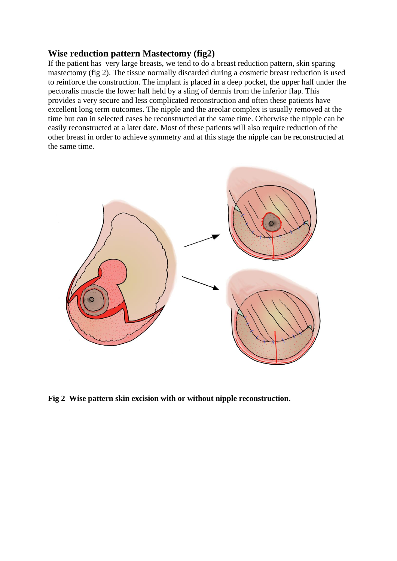### **Wise reduction pattern Mastectomy (fig2)**

If the patient has very large breasts, we tend to do a breast reduction pattern, skin sparing mastectomy (fig 2). The tissue normally discarded during a cosmetic breast reduction is used to reinforce the construction. The implant is placed in a deep pocket, the upper half under the pectoralis muscle the lower half held by a sling of dermis from the inferior flap. This provides a very secure and less complicated reconstruction and often these patients have excellent long term outcomes. The nipple and the areolar complex is usually removed at the time but can in selected cases be reconstructed at the same time. Otherwise the nipple can be easily reconstructed at a later date. Most of these patients will also require reduction of the other breast in order to achieve symmetry and at this stage the nipple can be reconstructed at the same time.



**Fig 2 Wise pattern skin excision with or without nipple reconstruction.**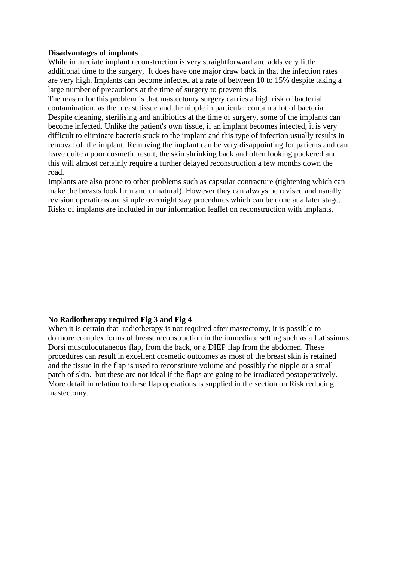### **Disadvantages of implants**

While immediate implant reconstruction is very straightforward and adds very little additional time to the surgery, It does have one major draw back in that the infection rates are very high. Implants can become infected at a rate of between 10 to 15% despite taking a large number of precautions at the time of surgery to prevent this.

The reason for this problem is that mastectomy surgery carries a high risk of bacterial contamination, as the breast tissue and the nipple in particular contain a lot of bacteria. Despite cleaning, sterilising and antibiotics at the time of surgery, some of the implants can become infected. Unlike the patient's own tissue, if an implant becomes infected, it is very difficult to eliminate bacteria stuck to the implant and this type of infection usually results in removal of the implant. Removing the implant can be very disappointing for patients and can leave quite a poor cosmetic result, the skin shrinking back and often looking puckered and this will almost certainly require a further delayed reconstruction a few months down the road.

Implants are also prone to other problems such as capsular contracture (tightening which can make the breasts look firm and unnatural). However they can always be revised and usually revision operations are simple overnight stay procedures which can be done at a later stage. Risks of implants are included in our information leaflet on reconstruction with implants.

### **No Radiotherapy required Fig 3 and Fig 4**

When it is certain that radiotherapy is not required after mastectomy, it is possible to do more complex forms of breast reconstruction in the immediate setting such as a Latissimus Dorsi musculocutaneous flap, from the back, or a DIEP flap from the abdomen. These procedures can result in excellent cosmetic outcomes as most of the breast skin is retained and the tissue in the flap is used to reconstitute volume and possibly the nipple or a small patch of skin. but these are not ideal if the flaps are going to be irradiated postoperatively. More detail in relation to these flap operations is supplied in the section on Risk reducing mastectomy.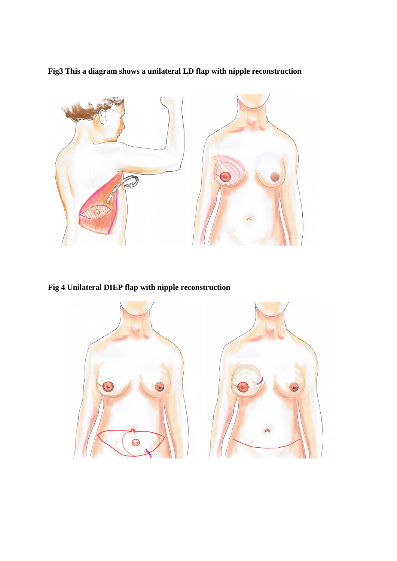**Fig3 This a diagram shows a unilateral LD flap with nipple reconstruction**



**Fig 4 Unilateral DIEP flap with nipple reconstruction**

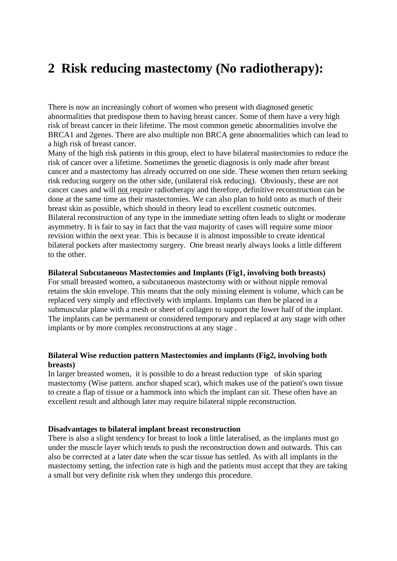# **2 Risk reducing mastectomy (No radiotherapy):**

There is now an increasingly cohort of women who present with diagnosed genetic abnormalities that predispose them to having breast cancer. Some of them have a very high risk of breast cancer in their lifetime. The most common genetic abnormalities involve the BRCA1 and 2genes. There are also multiple non BRCA gene abnormalities which can lead to a high risk of breast cancer.

Many of the high risk patients in this group, elect to have bilateral mastectomies to reduce the risk of cancer over a lifetime. Sometimes the genetic diagnosis is only made after breast cancer and a mastectomy has already occurred on one side. These women then return seeking risk reducing surgery on the other side, (unilateral risk reducing). Obviously, these are not cancer cases and will not require radiotherapy and therefore, definitive reconstruction can be done at the same time as their mastectomies. We can also plan to hold onto as much of their breast skin as possible, which should in theory lead to excellent cosmetic outcomes. Bilateral reconstruction of any type in the immediate setting often leads to slight or moderate asymmetry. It is fair to say in fact that the vast majority of cases will require some minor revision within the next year. This is because it is almost impossible to create identical bilateral pockets after mastectomy surgery. One breast nearly always looks a little different to the other.

### **Bilateral Subcutaneous Mastectomies and Implants (Fig1, involving both breasts)**

For small breasted women, a subcutaneous mastectomy with or without nipple removal retains the skin envelope. This means that the only missing element is volume, which can be replaced very simply and effectively with implants. Implants can then be placed in a submuscular plane with a mesh or sheet of collagen to support the lower half of the implant. The implants can be permanent or considered temporary and replaced at any stage with other implants or by more complex reconstructions at any stage .

### **Bilateral Wise reduction pattern Mastectomies and implants (Fig2, involving both breasts)**

In larger breasted women, it is possible to do a breast reduction type of skin sparing mastectomy (Wise pattern. anchor shaped scar), which makes use of the patient's own tissue to create a flap of tissue or a hammock into which the implant can sit. These often have an excellent result and although later may require bilateral nipple reconstruction.

#### **Disadvantages to bilateral implant breast reconstruction**

There is also a slight tendency for breast to look a little lateralised, as the implants must go under the muscle layer which tends to push the reconstruction down and outwards. This can also be corrected at a later date when the scar tissue has settled. As with all implants in the mastectomy setting, the infection rate is high and the patients must accept that they are taking a small but very definite risk when they undergo this procedure.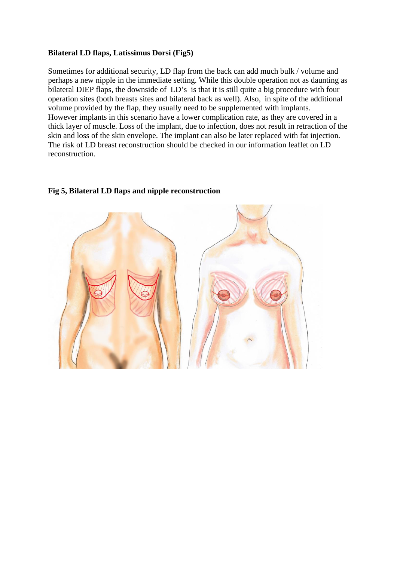### **Bilateral LD flaps, Latissimus Dorsi (Fig5)**

Sometimes for additional security, LD flap from the back can add much bulk / volume and perhaps a new nipple in the immediate setting. While this double operation not as daunting as bilateral DIEP flaps, the downside of LD's is that it is still quite a big procedure with four operation sites (both breasts sites and bilateral back as well). Also, in spite of the additional volume provided by the flap, they usually need to be supplemented with implants. However implants in this scenario have a lower complication rate, as they are covered in a thick layer of muscle. Loss of the implant, due to infection, does not result in retraction of the skin and loss of the skin envelope. The implant can also be later replaced with fat injection. The risk of LD breast reconstruction should be checked in our information leaflet on LD reconstruction.



### **Fig 5, Bilateral LD flaps and nipple reconstruction**